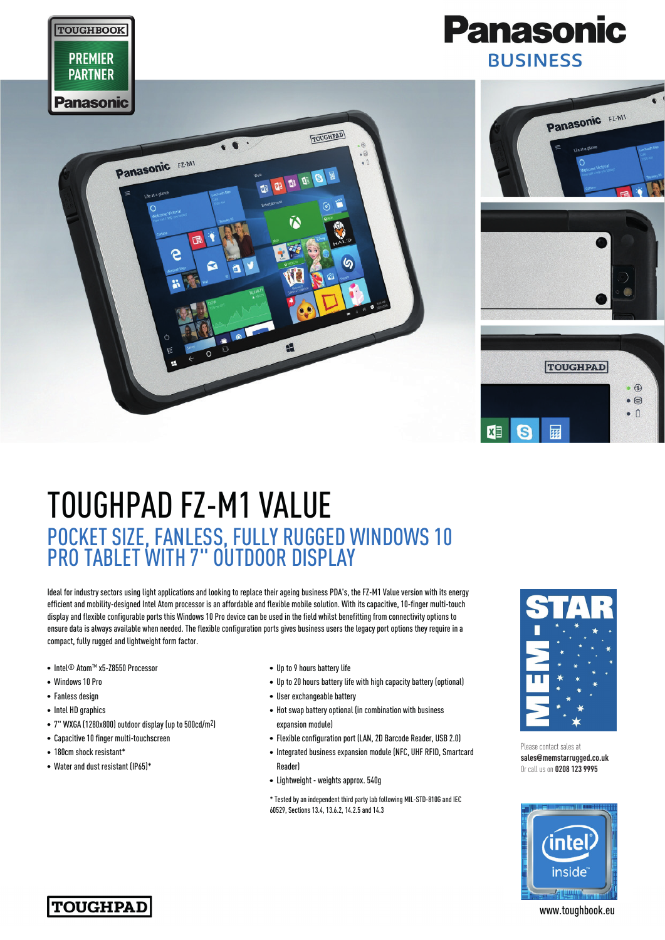

## TOUGHPAD FZ-M1 VALUE POCKET SIZE, FANLESS, FULLY RUGGED WINDOWS 10 PRO TABLET WITH 7" OUTDOOR DISPLAY

Ideal for industry sectors using light applications and looking to replace their ageing business PDA's, the FZ-M1 Value version with its energy efficient and mobility-designed Intel Atom processor is an affordable and flexible mobile solution. With its capacitive, 10-finger multi-touch display and flexible configurable ports this Windows 10 Pro device can be used in the field whilst benefitting from connectivity options to ensure data is always available when needed. The flexible configuration ports gives business users the legacy port options they require in a compact, fully rugged and lightweight form factor.

- Intel<sup>®</sup> Atom™ x5-Z8550 Processor
- Windows 10 Pro
- Fanless design
- Intel HD graphics
- 7" WXGA (1280x800) outdoor display (up to 500cd/m2)
- Capacitive 10 finger multi-touchscreen
- 180cm shock resistant\*
- Water and dust resistant (IP65)\*
- Up to 9 hours battery life
- Up to 20 hours battery life with high capacity battery (optional)
- User exchangeable battery
- Hot swap battery optional (in combination with business expansion module)
- Flexible configuration port (LAN, 2D Barcode Reader, USB 2.0)
- Integrated business expansion module (NFC, UHF RFID, Smartcard Reader)
- Lightweight weights approx. 540g

\* Tested by an independent third party lab following MIL-STD-810G and IEC 60529, Sections 13.4, 13.6.2, 14.2.5 and 14.3



Please contact sales at **sales@memstarrugged.co.uk** Or call us on **0208 123 9995**





www.toughbook.eu